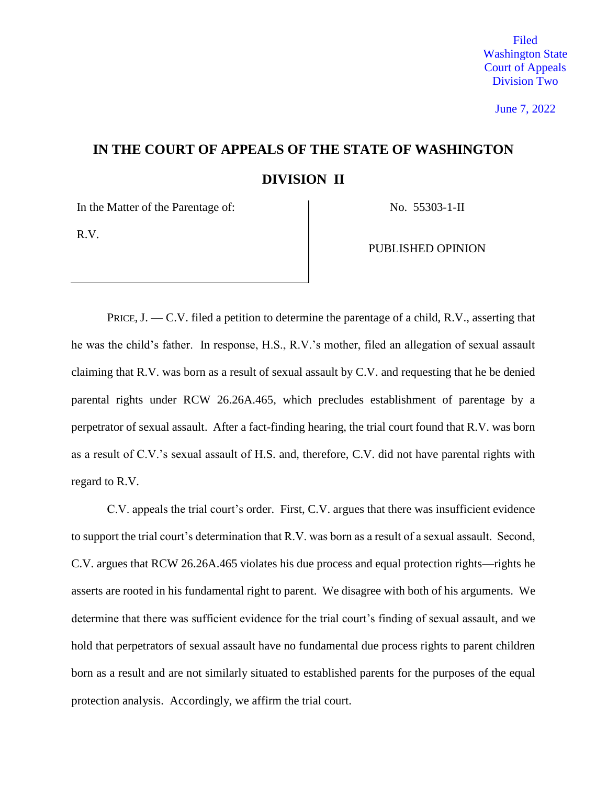June 7, 2022

# **IN THE COURT OF APPEALS OF THE STATE OF WASHINGTON DIVISION II**

In the Matter of the Parentage of: No. 55303-1-II

R.V.

PUBLISHED OPINION

PRICE,  $J. -C.V.$  filed a petition to determine the parentage of a child, R.V., asserting that he was the child's father. In response, H.S., R.V.'s mother, filed an allegation of sexual assault claiming that R.V. was born as a result of sexual assault by C.V. and requesting that he be denied parental rights under RCW 26.26A.465, which precludes establishment of parentage by a perpetrator of sexual assault. After a fact-finding hearing, the trial court found that R.V. was born as a result of C.V.'s sexual assault of H.S. and, therefore, C.V. did not have parental rights with regard to R.V.

C.V. appeals the trial court's order. First, C.V. argues that there was insufficient evidence to support the trial court's determination that R.V. was born as a result of a sexual assault. Second, C.V. argues that RCW 26.26A.465 violates his due process and equal protection rights—rights he asserts are rooted in his fundamental right to parent. We disagree with both of his arguments. We determine that there was sufficient evidence for the trial court's finding of sexual assault, and we hold that perpetrators of sexual assault have no fundamental due process rights to parent children born as a result and are not similarly situated to established parents for the purposes of the equal protection analysis. Accordingly, we affirm the trial court.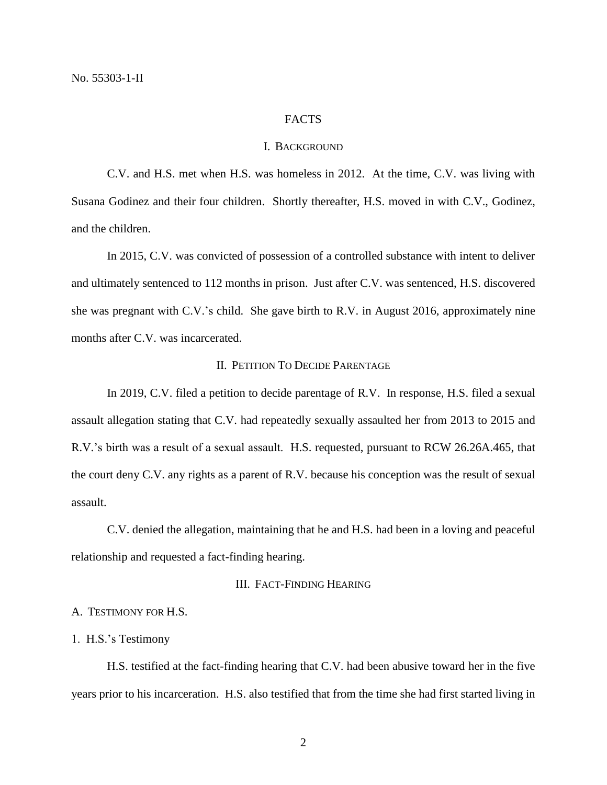#### FACTS

#### I. BACKGROUND

C.V. and H.S. met when H.S. was homeless in 2012. At the time, C.V. was living with Susana Godinez and their four children. Shortly thereafter, H.S. moved in with C.V., Godinez, and the children.

In 2015, C.V. was convicted of possession of a controlled substance with intent to deliver and ultimately sentenced to 112 months in prison. Just after C.V. was sentenced, H.S. discovered she was pregnant with C.V.'s child. She gave birth to R.V. in August 2016, approximately nine months after C.V. was incarcerated.

# II. PETITION TO DECIDE PARENTAGE

In 2019, C.V. filed a petition to decide parentage of R.V. In response, H.S. filed a sexual assault allegation stating that C.V. had repeatedly sexually assaulted her from 2013 to 2015 and R.V.'s birth was a result of a sexual assault. H.S. requested, pursuant to RCW 26.26A.465, that the court deny C.V. any rights as a parent of R.V. because his conception was the result of sexual assault.

C.V. denied the allegation, maintaining that he and H.S. had been in a loving and peaceful relationship and requested a fact-finding hearing.

# III. FACT-FINDING HEARING

# A. TESTIMONY FOR H.S.

#### 1. H.S.'s Testimony

H.S. testified at the fact-finding hearing that C.V. had been abusive toward her in the five years prior to his incarceration. H.S. also testified that from the time she had first started living in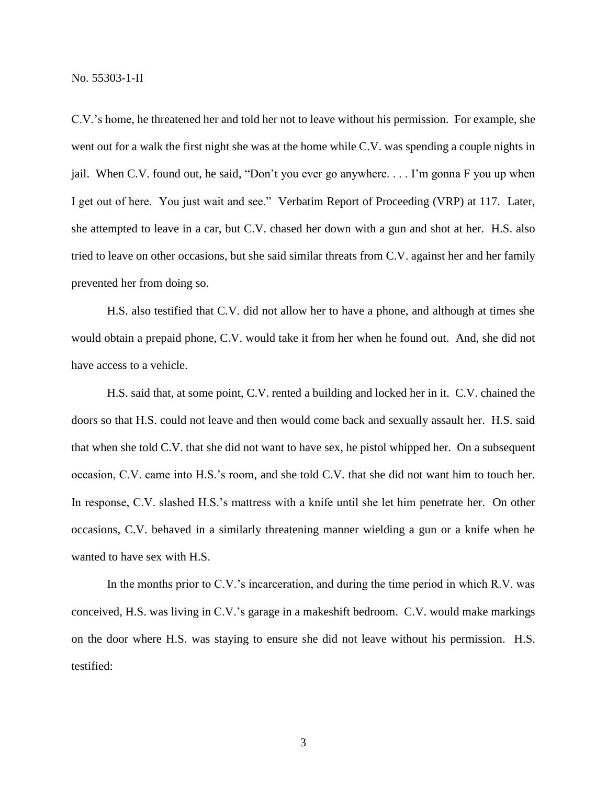C.V.'s home, he threatened her and told her not to leave without his permission. For example, she went out for a walk the first night she was at the home while C.V. was spending a couple nights in jail. When C.V. found out, he said, "Don't you ever go anywhere. . . . I'm gonna F you up when I get out of here. You just wait and see." Verbatim Report of Proceeding (VRP) at 117. Later, she attempted to leave in a car, but C.V. chased her down with a gun and shot at her. H.S. also tried to leave on other occasions, but she said similar threats from C.V. against her and her family prevented her from doing so.

H.S. also testified that C.V. did not allow her to have a phone, and although at times she would obtain a prepaid phone, C.V. would take it from her when he found out. And, she did not have access to a vehicle.

H.S. said that, at some point, C.V. rented a building and locked her in it. C.V. chained the doors so that H.S. could not leave and then would come back and sexually assault her. H.S. said that when she told C.V. that she did not want to have sex, he pistol whipped her. On a subsequent occasion, C.V. came into H.S.'s room, and she told C.V. that she did not want him to touch her. In response, C.V. slashed H.S.'s mattress with a knife until she let him penetrate her. On other occasions, C.V. behaved in a similarly threatening manner wielding a gun or a knife when he wanted to have sex with H.S.

In the months prior to C.V.'s incarceration, and during the time period in which R.V. was conceived, H.S. was living in C.V.'s garage in a makeshift bedroom. C.V. would make markings on the door where H.S. was staying to ensure she did not leave without his permission. H.S. testified: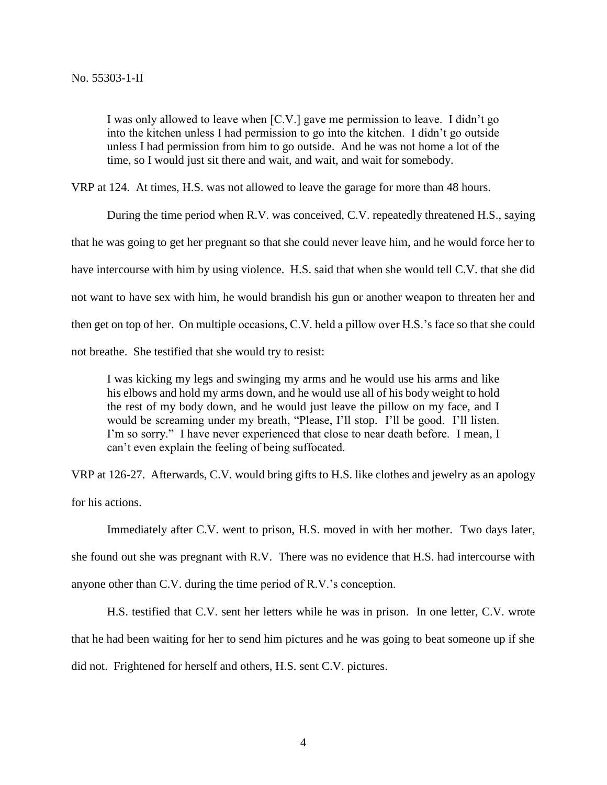I was only allowed to leave when [C.V.] gave me permission to leave. I didn't go into the kitchen unless I had permission to go into the kitchen. I didn't go outside unless I had permission from him to go outside. And he was not home a lot of the time, so I would just sit there and wait, and wait, and wait for somebody.

VRP at 124. At times, H.S. was not allowed to leave the garage for more than 48 hours.

During the time period when R.V. was conceived, C.V. repeatedly threatened H.S., saying that he was going to get her pregnant so that she could never leave him, and he would force her to have intercourse with him by using violence. H.S. said that when she would tell C.V. that she did not want to have sex with him, he would brandish his gun or another weapon to threaten her and then get on top of her. On multiple occasions, C.V. held a pillow over H.S.'s face so that she could not breathe. She testified that she would try to resist:

I was kicking my legs and swinging my arms and he would use his arms and like his elbows and hold my arms down, and he would use all of his body weight to hold the rest of my body down, and he would just leave the pillow on my face, and I would be screaming under my breath, "Please, I'll stop. I'll be good. I'll listen. I'm so sorry." I have never experienced that close to near death before. I mean, I can't even explain the feeling of being suffocated.

VRP at 126-27. Afterwards, C.V. would bring gifts to H.S. like clothes and jewelry as an apology for his actions.

Immediately after C.V. went to prison, H.S. moved in with her mother. Two days later, she found out she was pregnant with R.V. There was no evidence that H.S. had intercourse with anyone other than C.V. during the time period of R.V.'s conception.

H.S. testified that C.V. sent her letters while he was in prison. In one letter, C.V. wrote that he had been waiting for her to send him pictures and he was going to beat someone up if she did not. Frightened for herself and others, H.S. sent C.V. pictures.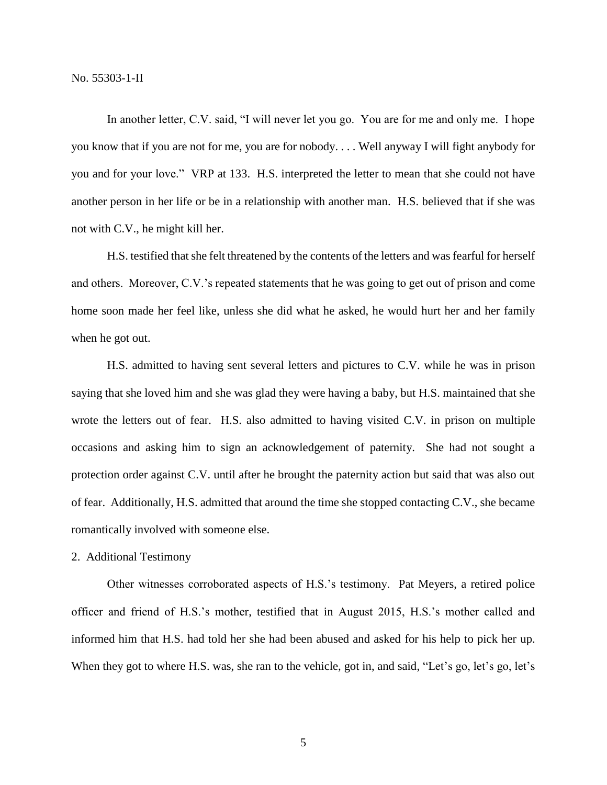In another letter, C.V. said, "I will never let you go. You are for me and only me. I hope you know that if you are not for me, you are for nobody. . . . Well anyway I will fight anybody for you and for your love." VRP at 133. H.S. interpreted the letter to mean that she could not have another person in her life or be in a relationship with another man. H.S. believed that if she was not with C.V., he might kill her.

H.S. testified that she felt threatened by the contents of the letters and was fearful for herself and others. Moreover, C.V.'s repeated statements that he was going to get out of prison and come home soon made her feel like, unless she did what he asked, he would hurt her and her family when he got out.

H.S. admitted to having sent several letters and pictures to C.V. while he was in prison saying that she loved him and she was glad they were having a baby, but H.S. maintained that she wrote the letters out of fear. H.S. also admitted to having visited C.V. in prison on multiple occasions and asking him to sign an acknowledgement of paternity. She had not sought a protection order against C.V. until after he brought the paternity action but said that was also out of fear. Additionally, H.S. admitted that around the time she stopped contacting C.V., she became romantically involved with someone else.

## 2. Additional Testimony

Other witnesses corroborated aspects of H.S.'s testimony. Pat Meyers, a retired police officer and friend of H.S.'s mother, testified that in August 2015, H.S.'s mother called and informed him that H.S. had told her she had been abused and asked for his help to pick her up. When they got to where H.S. was, she ran to the vehicle, got in, and said, "Let's go, let's go, let's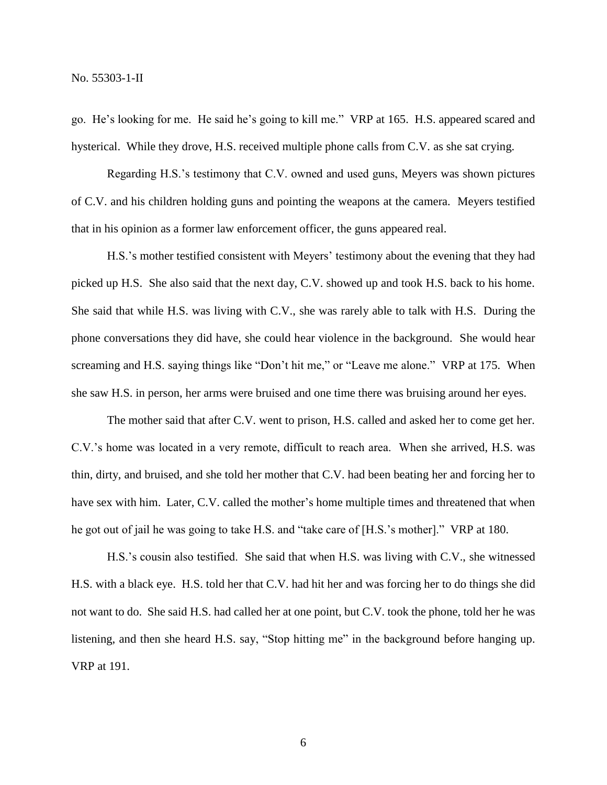go. He's looking for me. He said he's going to kill me." VRP at 165. H.S. appeared scared and hysterical. While they drove, H.S. received multiple phone calls from C.V. as she sat crying.

Regarding H.S.'s testimony that C.V. owned and used guns, Meyers was shown pictures of C.V. and his children holding guns and pointing the weapons at the camera. Meyers testified that in his opinion as a former law enforcement officer, the guns appeared real.

H.S.'s mother testified consistent with Meyers' testimony about the evening that they had picked up H.S. She also said that the next day, C.V. showed up and took H.S. back to his home. She said that while H.S. was living with C.V., she was rarely able to talk with H.S. During the phone conversations they did have, she could hear violence in the background. She would hear screaming and H.S. saying things like "Don't hit me," or "Leave me alone." VRP at 175. When she saw H.S. in person, her arms were bruised and one time there was bruising around her eyes.

The mother said that after C.V. went to prison, H.S. called and asked her to come get her. C.V.'s home was located in a very remote, difficult to reach area. When she arrived, H.S. was thin, dirty, and bruised, and she told her mother that C.V. had been beating her and forcing her to have sex with him. Later, C.V. called the mother's home multiple times and threatened that when he got out of jail he was going to take H.S. and "take care of [H.S.'s mother]." VRP at 180.

H.S.'s cousin also testified. She said that when H.S. was living with C.V., she witnessed H.S. with a black eye. H.S. told her that C.V. had hit her and was forcing her to do things she did not want to do. She said H.S. had called her at one point, but C.V. took the phone, told her he was listening, and then she heard H.S. say, "Stop hitting me" in the background before hanging up. VRP at 191.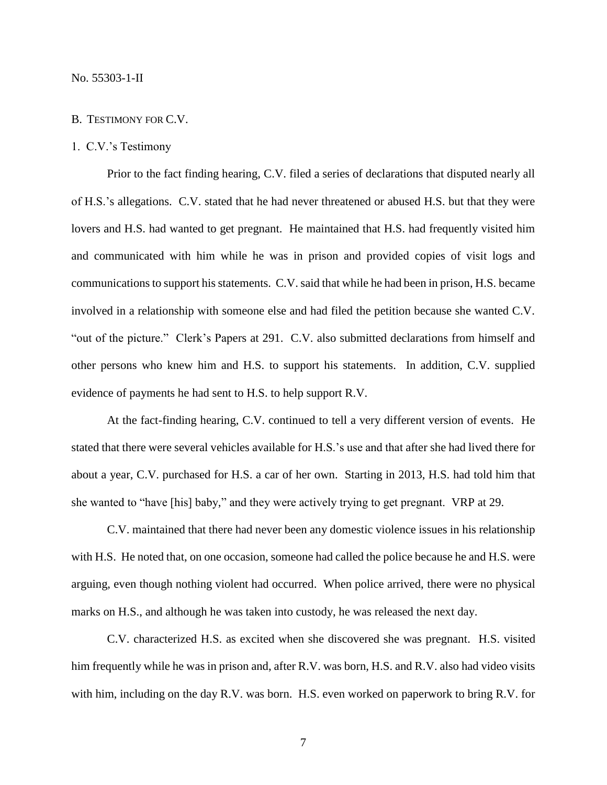#### B. TESTIMONY FOR C.V.

# 1. C.V.'s Testimony

Prior to the fact finding hearing, C.V. filed a series of declarations that disputed nearly all of H.S.'s allegations. C.V. stated that he had never threatened or abused H.S. but that they were lovers and H.S. had wanted to get pregnant. He maintained that H.S. had frequently visited him and communicated with him while he was in prison and provided copies of visit logs and communications to support his statements. C.V. said that while he had been in prison, H.S. became involved in a relationship with someone else and had filed the petition because she wanted C.V. "out of the picture." Clerk's Papers at 291. C.V. also submitted declarations from himself and other persons who knew him and H.S. to support his statements. In addition, C.V. supplied evidence of payments he had sent to H.S. to help support R.V.

At the fact-finding hearing, C.V. continued to tell a very different version of events. He stated that there were several vehicles available for H.S.'s use and that after she had lived there for about a year, C.V. purchased for H.S. a car of her own. Starting in 2013, H.S. had told him that she wanted to "have [his] baby," and they were actively trying to get pregnant. VRP at 29.

C.V. maintained that there had never been any domestic violence issues in his relationship with H.S. He noted that, on one occasion, someone had called the police because he and H.S. were arguing, even though nothing violent had occurred. When police arrived, there were no physical marks on H.S., and although he was taken into custody, he was released the next day.

C.V. characterized H.S. as excited when she discovered she was pregnant. H.S. visited him frequently while he was in prison and, after R.V. was born, H.S. and R.V. also had video visits with him, including on the day R.V. was born. H.S. even worked on paperwork to bring R.V. for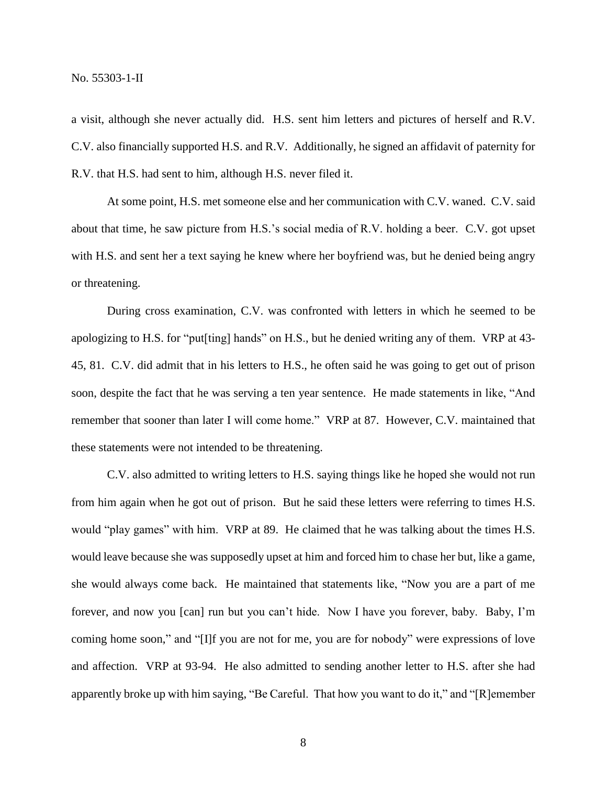a visit, although she never actually did. H.S. sent him letters and pictures of herself and R.V. C.V. also financially supported H.S. and R.V. Additionally, he signed an affidavit of paternity for R.V. that H.S. had sent to him, although H.S. never filed it.

At some point, H.S. met someone else and her communication with C.V. waned. C.V. said about that time, he saw picture from H.S.'s social media of R.V. holding a beer. C.V. got upset with H.S. and sent her a text saying he knew where her boyfriend was, but he denied being angry or threatening.

During cross examination, C.V. was confronted with letters in which he seemed to be apologizing to H.S. for "put[ting] hands" on H.S., but he denied writing any of them. VRP at 43- 45, 81. C.V. did admit that in his letters to H.S., he often said he was going to get out of prison soon, despite the fact that he was serving a ten year sentence. He made statements in like, "And remember that sooner than later I will come home." VRP at 87. However, C.V. maintained that these statements were not intended to be threatening.

C.V. also admitted to writing letters to H.S. saying things like he hoped she would not run from him again when he got out of prison. But he said these letters were referring to times H.S. would "play games" with him. VRP at 89. He claimed that he was talking about the times H.S. would leave because she was supposedly upset at him and forced him to chase her but, like a game, she would always come back. He maintained that statements like, "Now you are a part of me forever, and now you [can] run but you can't hide. Now I have you forever, baby. Baby, I'm coming home soon," and "[I]f you are not for me, you are for nobody" were expressions of love and affection. VRP at 93-94. He also admitted to sending another letter to H.S. after she had apparently broke up with him saying, "Be Careful. That how you want to do it," and "[R]emember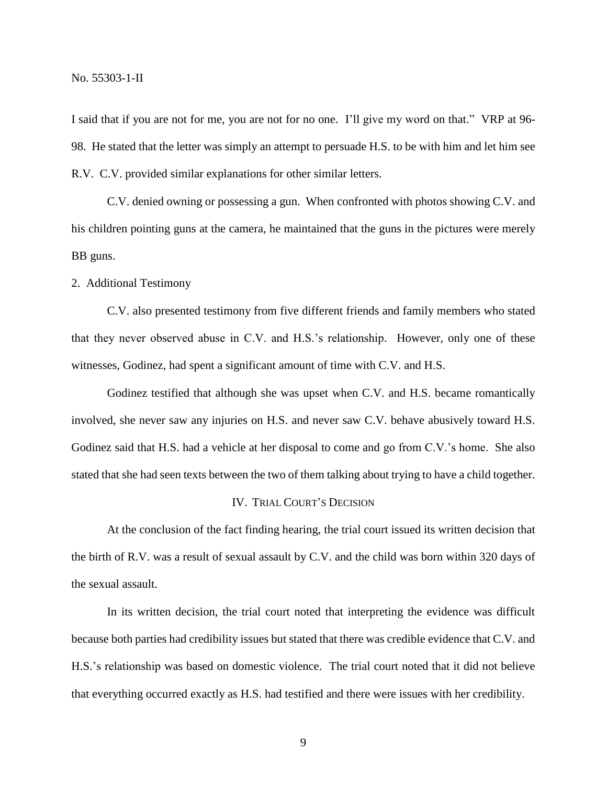I said that if you are not for me, you are not for no one. I'll give my word on that." VRP at 96- 98. He stated that the letter was simply an attempt to persuade H.S. to be with him and let him see R.V. C.V. provided similar explanations for other similar letters.

C.V. denied owning or possessing a gun. When confronted with photos showing C.V. and his children pointing guns at the camera, he maintained that the guns in the pictures were merely BB guns.

2. Additional Testimony

C.V. also presented testimony from five different friends and family members who stated that they never observed abuse in C.V. and H.S.'s relationship. However, only one of these witnesses, Godinez, had spent a significant amount of time with C.V. and H.S.

Godinez testified that although she was upset when C.V. and H.S. became romantically involved, she never saw any injuries on H.S. and never saw C.V. behave abusively toward H.S. Godinez said that H.S. had a vehicle at her disposal to come and go from C.V.'s home. She also stated that she had seen texts between the two of them talking about trying to have a child together.

#### IV. TRIAL COURT'S DECISION

At the conclusion of the fact finding hearing, the trial court issued its written decision that the birth of R.V. was a result of sexual assault by C.V. and the child was born within 320 days of the sexual assault.

In its written decision, the trial court noted that interpreting the evidence was difficult because both parties had credibility issues but stated that there was credible evidence that C.V. and H.S.'s relationship was based on domestic violence. The trial court noted that it did not believe that everything occurred exactly as H.S. had testified and there were issues with her credibility.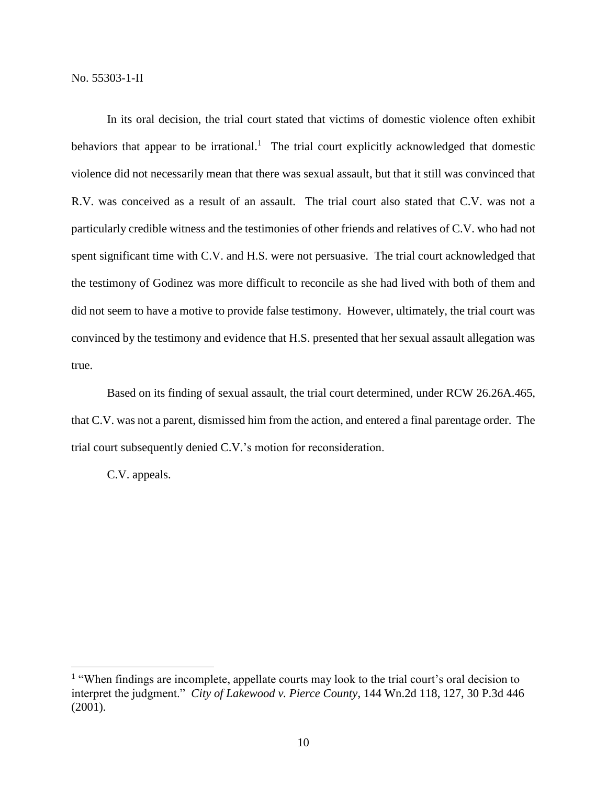In its oral decision, the trial court stated that victims of domestic violence often exhibit behaviors that appear to be irrational.<sup>1</sup> The trial court explicitly acknowledged that domestic violence did not necessarily mean that there was sexual assault, but that it still was convinced that R.V. was conceived as a result of an assault. The trial court also stated that C.V. was not a particularly credible witness and the testimonies of other friends and relatives of C.V. who had not spent significant time with C.V. and H.S. were not persuasive. The trial court acknowledged that the testimony of Godinez was more difficult to reconcile as she had lived with both of them and did not seem to have a motive to provide false testimony. However, ultimately, the trial court was convinced by the testimony and evidence that H.S. presented that her sexual assault allegation was true.

Based on its finding of sexual assault, the trial court determined, under RCW 26.26A.465, that C.V. was not a parent, dismissed him from the action, and entered a final parentage order. The trial court subsequently denied C.V.'s motion for reconsideration.

C.V. appeals.

 $\overline{a}$ 

<sup>&</sup>lt;sup>1</sup> "When findings are incomplete, appellate courts may look to the trial court's oral decision to interpret the judgment." *City of Lakewood v. Pierce County*, 144 Wn.2d 118, 127, 30 P.3d 446 (2001).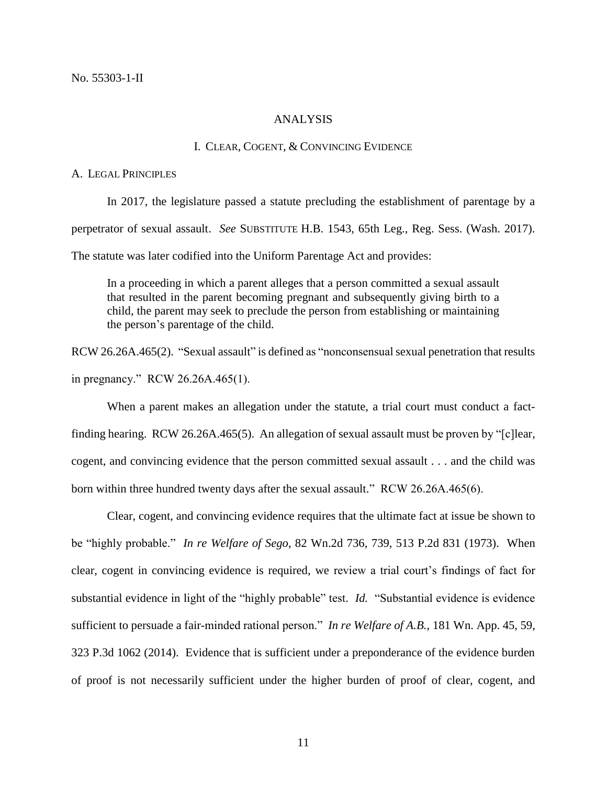## ANALYSIS

# I. CLEAR, COGENT, & CONVINCING EVIDENCE

#### A. LEGAL PRINCIPLES

In 2017, the legislature passed a statute precluding the establishment of parentage by a perpetrator of sexual assault. *See* SUBSTITUTE H.B. 1543, 65th Leg., Reg. Sess. (Wash. 2017). The statute was later codified into the Uniform Parentage Act and provides:

In a proceeding in which a parent alleges that a person committed a sexual assault that resulted in the parent becoming pregnant and subsequently giving birth to a child, the parent may seek to preclude the person from establishing or maintaining the person's parentage of the child.

RCW 26.26A.465(2). "Sexual assault" is defined as "nonconsensual sexual penetration that results in pregnancy." RCW 26.26A.465(1).

When a parent makes an allegation under the statute, a trial court must conduct a factfinding hearing. RCW 26.26A.465(5). An allegation of sexual assault must be proven by "[c]lear, cogent, and convincing evidence that the person committed sexual assault . . . and the child was born within three hundred twenty days after the sexual assault." RCW 26.26A.465(6).

Clear, cogent, and convincing evidence requires that the ultimate fact at issue be shown to be "highly probable." *In re Welfare of Sego*, 82 Wn.2d 736, 739, 513 P.2d 831 (1973). When clear, cogent in convincing evidence is required, we review a trial court's findings of fact for substantial evidence in light of the "highly probable" test. *Id.* "Substantial evidence is evidence sufficient to persuade a fair-minded rational person." *In re Welfare of A.B.*, 181 Wn. App. 45, 59, 323 P.3d 1062 (2014). Evidence that is sufficient under a preponderance of the evidence burden of proof is not necessarily sufficient under the higher burden of proof of clear, cogent, and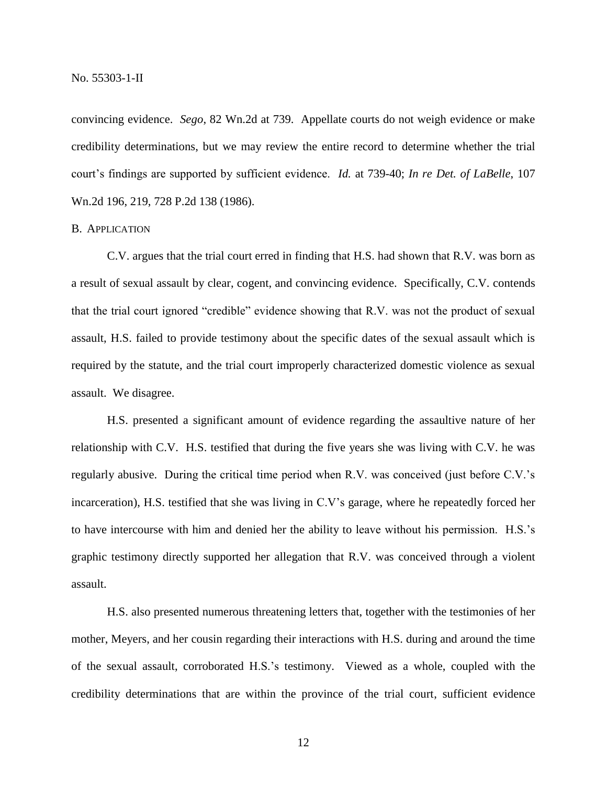convincing evidence. *Sego*, 82 Wn.2d at 739. Appellate courts do not weigh evidence or make credibility determinations, but we may review the entire record to determine whether the trial court's findings are supported by sufficient evidence. *Id.* at 739-40; *In re Det. of LaBelle*, 107 Wn.2d 196, 219, 728 P.2d 138 (1986).

# B. APPLICATION

C.V. argues that the trial court erred in finding that H.S. had shown that R.V. was born as a result of sexual assault by clear, cogent, and convincing evidence. Specifically, C.V. contends that the trial court ignored "credible" evidence showing that R.V. was not the product of sexual assault, H.S. failed to provide testimony about the specific dates of the sexual assault which is required by the statute, and the trial court improperly characterized domestic violence as sexual assault. We disagree.

H.S. presented a significant amount of evidence regarding the assaultive nature of her relationship with C.V. H.S. testified that during the five years she was living with C.V. he was regularly abusive. During the critical time period when R.V. was conceived (just before C.V.'s incarceration), H.S. testified that she was living in C.V's garage, where he repeatedly forced her to have intercourse with him and denied her the ability to leave without his permission. H.S.'s graphic testimony directly supported her allegation that R.V. was conceived through a violent assault.

H.S. also presented numerous threatening letters that, together with the testimonies of her mother, Meyers, and her cousin regarding their interactions with H.S. during and around the time of the sexual assault, corroborated H.S.'s testimony. Viewed as a whole, coupled with the credibility determinations that are within the province of the trial court, sufficient evidence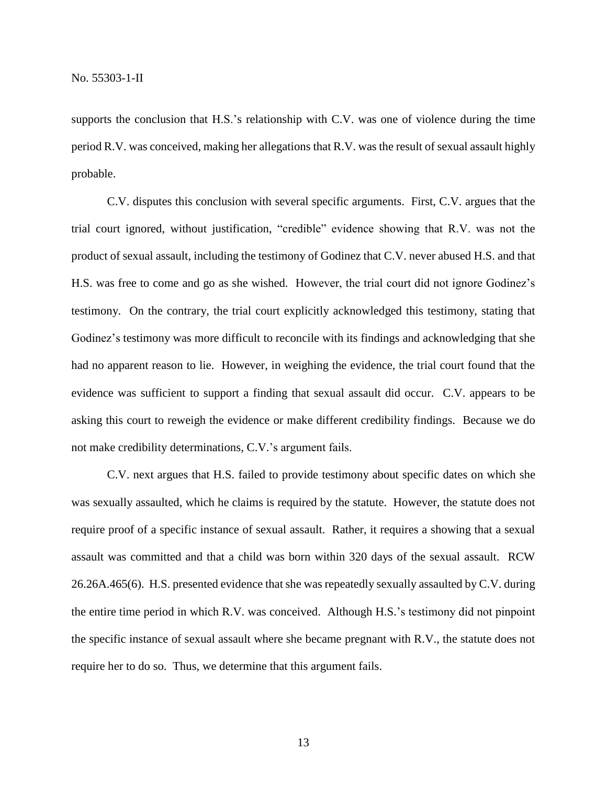supports the conclusion that H.S.'s relationship with C.V. was one of violence during the time period R.V. was conceived, making her allegations that R.V. was the result of sexual assault highly probable.

C.V. disputes this conclusion with several specific arguments. First, C.V. argues that the trial court ignored, without justification, "credible" evidence showing that R.V. was not the product of sexual assault, including the testimony of Godinez that C.V. never abused H.S. and that H.S. was free to come and go as she wished. However, the trial court did not ignore Godinez's testimony. On the contrary, the trial court explicitly acknowledged this testimony, stating that Godinez's testimony was more difficult to reconcile with its findings and acknowledging that she had no apparent reason to lie. However, in weighing the evidence, the trial court found that the evidence was sufficient to support a finding that sexual assault did occur. C.V. appears to be asking this court to reweigh the evidence or make different credibility findings. Because we do not make credibility determinations, C.V.'s argument fails.

C.V. next argues that H.S. failed to provide testimony about specific dates on which she was sexually assaulted, which he claims is required by the statute. However, the statute does not require proof of a specific instance of sexual assault. Rather, it requires a showing that a sexual assault was committed and that a child was born within 320 days of the sexual assault. RCW 26.26A.465(6). H.S. presented evidence that she was repeatedly sexually assaulted by C.V. during the entire time period in which R.V. was conceived. Although H.S.'s testimony did not pinpoint the specific instance of sexual assault where she became pregnant with R.V., the statute does not require her to do so. Thus, we determine that this argument fails.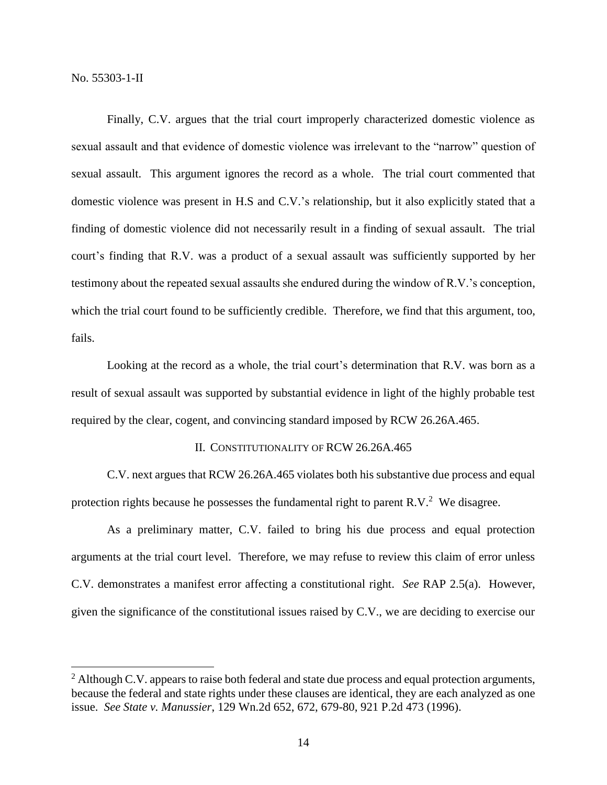$\overline{a}$ 

Finally, C.V. argues that the trial court improperly characterized domestic violence as sexual assault and that evidence of domestic violence was irrelevant to the "narrow" question of sexual assault. This argument ignores the record as a whole. The trial court commented that domestic violence was present in H.S and C.V.'s relationship, but it also explicitly stated that a finding of domestic violence did not necessarily result in a finding of sexual assault. The trial court's finding that R.V. was a product of a sexual assault was sufficiently supported by her testimony about the repeated sexual assaults she endured during the window of R.V.'s conception, which the trial court found to be sufficiently credible. Therefore, we find that this argument, too, fails.

Looking at the record as a whole, the trial court's determination that R.V. was born as a result of sexual assault was supported by substantial evidence in light of the highly probable test required by the clear, cogent, and convincing standard imposed by RCW 26.26A.465.

# II. CONSTITUTIONALITY OF RCW 26.26A.465

C.V. next argues that RCW 26.26A.465 violates both his substantive due process and equal protection rights because he possesses the fundamental right to parent R.V.<sup>2</sup> We disagree.

As a preliminary matter, C.V. failed to bring his due process and equal protection arguments at the trial court level. Therefore, we may refuse to review this claim of error unless C.V. demonstrates a manifest error affecting a constitutional right. *See* RAP 2.5(a). However, given the significance of the constitutional issues raised by C.V., we are deciding to exercise our

 $2$  Although C.V. appears to raise both federal and state due process and equal protection arguments, because the federal and state rights under these clauses are identical, they are each analyzed as one issue. *See State v. Manussier*, 129 Wn.2d 652, 672, 679-80, 921 P.2d 473 (1996).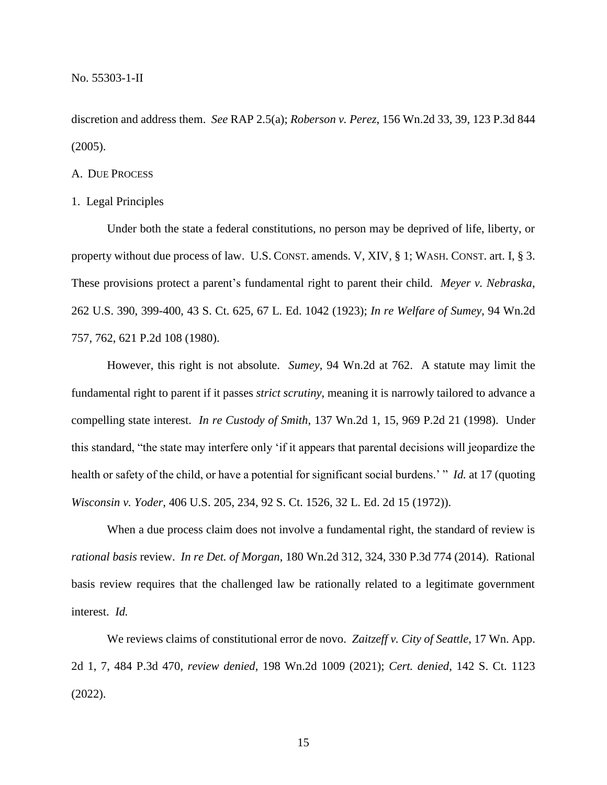discretion and address them. *See* RAP 2.5(a); *Roberson v. Perez*, 156 Wn.2d 33, 39, 123 P.3d 844 (2005).

## A. DUE PROCESS

## 1. Legal Principles

Under both the state a federal constitutions, no person may be deprived of life, liberty, or property without due process of law. U.S. CONST. amends. V, XIV, § 1; WASH. CONST. art. I, § 3. These provisions protect a parent's fundamental right to parent their child. *Meyer v. Nebraska*, 262 U.S. 390, 399-400, 43 S. Ct. 625, 67 L. Ed. 1042 (1923); *In re Welfare of Sumey*, 94 Wn.2d 757, 762, 621 P.2d 108 (1980).

However, this right is not absolute. *Sumey*, 94 Wn.2d at 762. A statute may limit the fundamental right to parent if it passes *strict scrutiny*, meaning it is narrowly tailored to advance a compelling state interest. *In re Custody of Smith*, 137 Wn.2d 1, 15, 969 P.2d 21 (1998). Under this standard, "the state may interfere only 'if it appears that parental decisions will jeopardize the health or safety of the child, or have a potential for significant social burdens.' " *Id.* at 17 (quoting *Wisconsin v. Yoder*, 406 U.S. 205, 234, 92 S. Ct. 1526, 32 L. Ed. 2d 15 (1972)).

When a due process claim does not involve a fundamental right, the standard of review is *rational basis* review. *In re Det. of Morgan*, 180 Wn.2d 312, 324, 330 P.3d 774 (2014). Rational basis review requires that the challenged law be rationally related to a legitimate government interest. *Id.*

We reviews claims of constitutional error de novo. *Zaitzeff v. City of Seattle*, 17 Wn. App. 2d 1, 7, 484 P.3d 470, *review denied*, 198 Wn.2d 1009 (2021); *Cert. denied*, 142 S. Ct. 1123 (2022).

15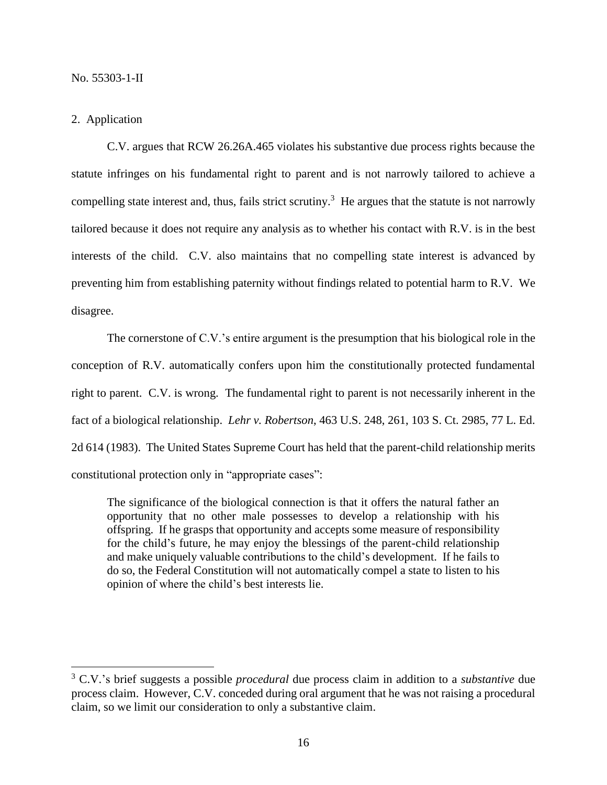# 2. Application

 $\overline{a}$ 

C.V. argues that RCW 26.26A.465 violates his substantive due process rights because the statute infringes on his fundamental right to parent and is not narrowly tailored to achieve a compelling state interest and, thus, fails strict scrutiny.<sup>3</sup> He argues that the statute is not narrowly tailored because it does not require any analysis as to whether his contact with R.V. is in the best interests of the child. C.V. also maintains that no compelling state interest is advanced by preventing him from establishing paternity without findings related to potential harm to R.V. We disagree.

The cornerstone of C.V.'s entire argument is the presumption that his biological role in the conception of R.V. automatically confers upon him the constitutionally protected fundamental right to parent. C.V. is wrong. The fundamental right to parent is not necessarily inherent in the fact of a biological relationship. *Lehr v. Robertson*, 463 U.S. 248, 261, 103 S. Ct. 2985, 77 L. Ed. 2d 614 (1983). The United States Supreme Court has held that the parent-child relationship merits constitutional protection only in "appropriate cases":

The significance of the biological connection is that it offers the natural father an opportunity that no other male possesses to develop a relationship with his offspring. If he grasps that opportunity and accepts some measure of responsibility for the child's future, he may enjoy the blessings of the parent-child relationship and make uniquely valuable contributions to the child's development. If he fails to do so, the Federal Constitution will not automatically compel a state to listen to his opinion of where the child's best interests lie.

<sup>3</sup> C.V.'s brief suggests a possible *procedural* due process claim in addition to a *substantive* due process claim. However, C.V. conceded during oral argument that he was not raising a procedural claim, so we limit our consideration to only a substantive claim.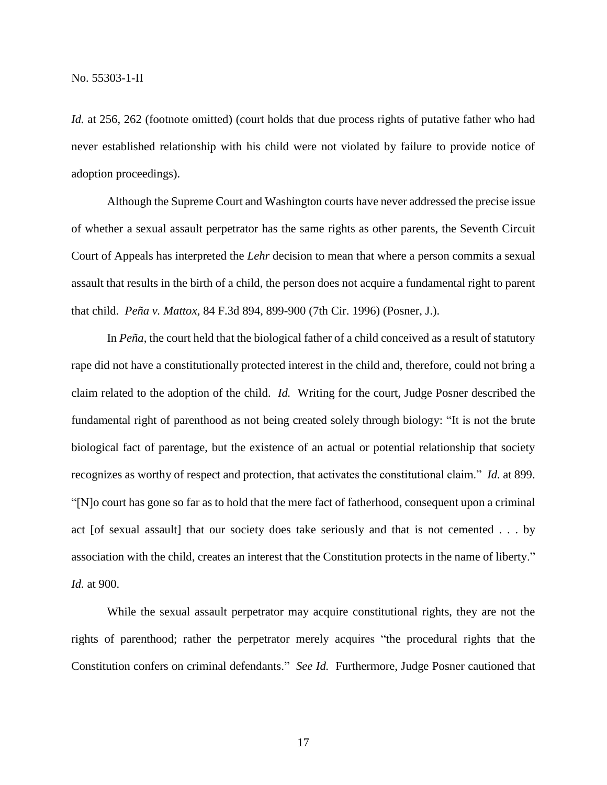*Id.* at 256, 262 (footnote omitted) (court holds that due process rights of putative father who had never established relationship with his child were not violated by failure to provide notice of adoption proceedings).

Although the Supreme Court and Washington courts have never addressed the precise issue of whether a sexual assault perpetrator has the same rights as other parents, the Seventh Circuit Court of Appeals has interpreted the *Lehr* decision to mean that where a person commits a sexual assault that results in the birth of a child, the person does not acquire a fundamental right to parent that child. *Peña v. Mattox*, 84 F.3d 894, 899-900 (7th Cir. 1996) (Posner, J.).

In *Peña*, the court held that the biological father of a child conceived as a result of statutory rape did not have a constitutionally protected interest in the child and, therefore, could not bring a claim related to the adoption of the child. *Id.* Writing for the court, Judge Posner described the fundamental right of parenthood as not being created solely through biology: "It is not the brute biological fact of parentage, but the existence of an actual or potential relationship that society recognizes as worthy of respect and protection, that activates the constitutional claim." *Id.* at 899. "[N]o court has gone so far as to hold that the mere fact of fatherhood, consequent upon a criminal act [of sexual assault] that our society does take seriously and that is not cemented . . . by association with the child, creates an interest that the Constitution protects in the name of liberty." *Id.* at 900.

While the sexual assault perpetrator may acquire constitutional rights, they are not the rights of parenthood; rather the perpetrator merely acquires "the procedural rights that the Constitution confers on criminal defendants." *See Id.* Furthermore, Judge Posner cautioned that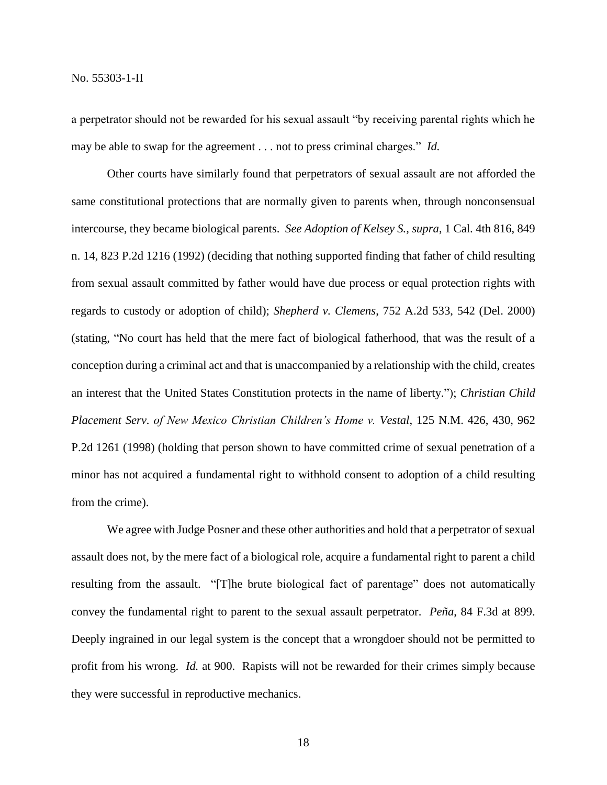a perpetrator should not be rewarded for his sexual assault "by receiving parental rights which he may be able to swap for the agreement . . . not to press criminal charges." *Id.*

Other courts have similarly found that perpetrators of sexual assault are not afforded the same constitutional protections that are normally given to parents when, through nonconsensual intercourse, they became biological parents. *See Adoption of Kelsey S., supra*, 1 Cal. 4th 816, 849 n. 14, 823 P.2d 1216 (1992) (deciding that nothing supported finding that father of child resulting from sexual assault committed by father would have due process or equal protection rights with regards to custody or adoption of child); *Shepherd v. Clemens*, 752 A.2d 533, 542 (Del. 2000) (stating, "No court has held that the mere fact of biological fatherhood, that was the result of a conception during a criminal act and that is unaccompanied by a relationship with the child, creates an interest that the United States Constitution protects in the name of liberty."); *Christian Child Placement Serv. of New Mexico Christian Children's Home v. Vestal*, 125 N.M. 426, 430, 962 P.2d 1261 (1998) (holding that person shown to have committed crime of sexual penetration of a minor has not acquired a fundamental right to withhold consent to adoption of a child resulting from the crime).

We agree with Judge Posner and these other authorities and hold that a perpetrator of sexual assault does not, by the mere fact of a biological role, acquire a fundamental right to parent a child resulting from the assault. "[T]he brute biological fact of parentage" does not automatically convey the fundamental right to parent to the sexual assault perpetrator. *Peña*, 84 F.3d at 899. Deeply ingrained in our legal system is the concept that a wrongdoer should not be permitted to profit from his wrong. *Id.* at 900. Rapists will not be rewarded for their crimes simply because they were successful in reproductive mechanics.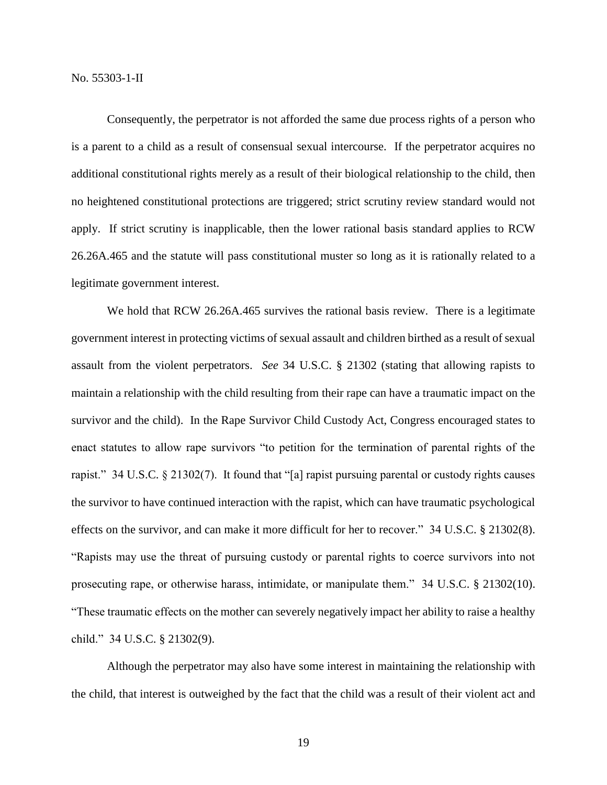Consequently, the perpetrator is not afforded the same due process rights of a person who is a parent to a child as a result of consensual sexual intercourse. If the perpetrator acquires no additional constitutional rights merely as a result of their biological relationship to the child, then no heightened constitutional protections are triggered; strict scrutiny review standard would not apply. If strict scrutiny is inapplicable, then the lower rational basis standard applies to RCW 26.26A.465 and the statute will pass constitutional muster so long as it is rationally related to a legitimate government interest.

We hold that RCW 26.26A.465 survives the rational basis review. There is a legitimate government interest in protecting victims of sexual assault and children birthed as a result of sexual assault from the violent perpetrators. *See* 34 U.S.C. § 21302 (stating that allowing rapists to maintain a relationship with the child resulting from their rape can have a traumatic impact on the survivor and the child). In the Rape Survivor Child Custody Act, Congress encouraged states to enact statutes to allow rape survivors "to petition for the termination of parental rights of the rapist." 34 U.S.C. § 21302(7). It found that "[a] rapist pursuing parental or custody rights causes the survivor to have continued interaction with the rapist, which can have traumatic psychological effects on the survivor, and can make it more difficult for her to recover." 34 U.S.C. § 21302(8). "Rapists may use the threat of pursuing custody or parental rights to coerce survivors into not prosecuting rape, or otherwise harass, intimidate, or manipulate them." 34 U.S.C. § 21302(10). "These traumatic effects on the mother can severely negatively impact her ability to raise a healthy child." 34 U.S.C. § 21302(9).

Although the perpetrator may also have some interest in maintaining the relationship with the child, that interest is outweighed by the fact that the child was a result of their violent act and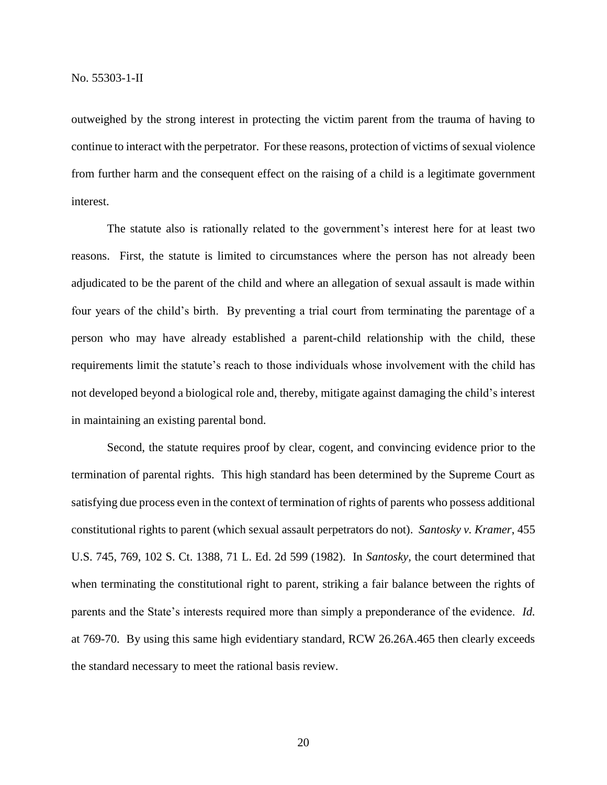outweighed by the strong interest in protecting the victim parent from the trauma of having to continue to interact with the perpetrator. For these reasons, protection of victims of sexual violence from further harm and the consequent effect on the raising of a child is a legitimate government interest.

The statute also is rationally related to the government's interest here for at least two reasons. First, the statute is limited to circumstances where the person has not already been adjudicated to be the parent of the child and where an allegation of sexual assault is made within four years of the child's birth. By preventing a trial court from terminating the parentage of a person who may have already established a parent-child relationship with the child, these requirements limit the statute's reach to those individuals whose involvement with the child has not developed beyond a biological role and, thereby, mitigate against damaging the child's interest in maintaining an existing parental bond.

Second, the statute requires proof by clear, cogent, and convincing evidence prior to the termination of parental rights. This high standard has been determined by the Supreme Court as satisfying due process even in the context of termination of rights of parents who possess additional constitutional rights to parent (which sexual assault perpetrators do not). *Santosky v. Kramer*, 455 U.S. 745, 769, 102 S. Ct. 1388, 71 L. Ed. 2d 599 (1982). In *Santosky,* the court determined that when terminating the constitutional right to parent, striking a fair balance between the rights of parents and the State's interests required more than simply a preponderance of the evidence. *Id.* at 769-70. By using this same high evidentiary standard, RCW 26.26A.465 then clearly exceeds the standard necessary to meet the rational basis review.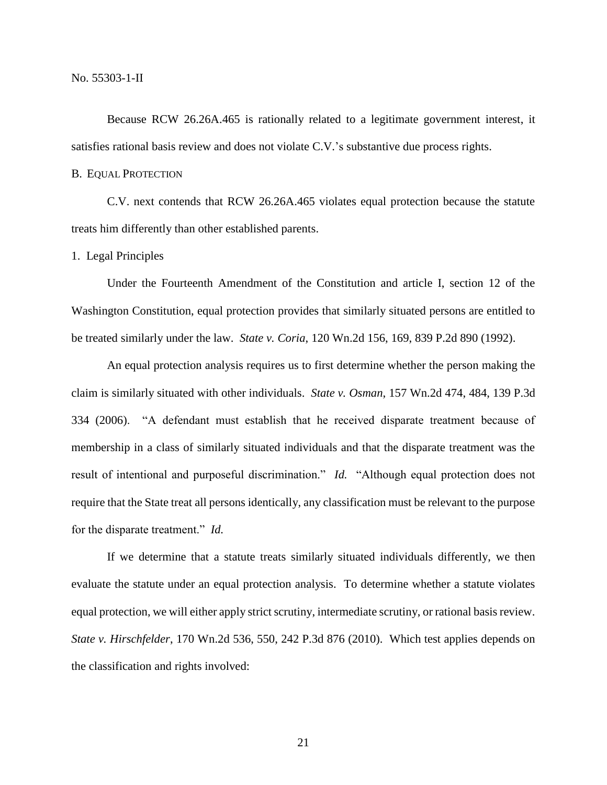Because RCW 26.26A.465 is rationally related to a legitimate government interest, it satisfies rational basis review and does not violate C.V.'s substantive due process rights.

#### B. EQUAL PROTECTION

C.V. next contends that RCW 26.26A.465 violates equal protection because the statute treats him differently than other established parents.

1. Legal Principles

Under the Fourteenth Amendment of the Constitution and article I, section 12 of the Washington Constitution, equal protection provides that similarly situated persons are entitled to be treated similarly under the law. *State v. Coria*, 120 Wn.2d 156, 169, 839 P.2d 890 (1992).

An equal protection analysis requires us to first determine whether the person making the claim is similarly situated with other individuals. *State v. Osman*, 157 Wn.2d 474, 484, 139 P.3d 334 (2006). "A defendant must establish that he received disparate treatment because of membership in a class of similarly situated individuals and that the disparate treatment was the result of intentional and purposeful discrimination." *Id.* "Although equal protection does not require that the State treat all persons identically, any classification must be relevant to the purpose for the disparate treatment." *Id.*

If we determine that a statute treats similarly situated individuals differently, we then evaluate the statute under an equal protection analysis. To determine whether a statute violates equal protection, we will either apply strict scrutiny, intermediate scrutiny, or rational basis review. *State v. Hirschfelder*, 170 Wn.2d 536, 550, 242 P.3d 876 (2010). Which test applies depends on the classification and rights involved:

21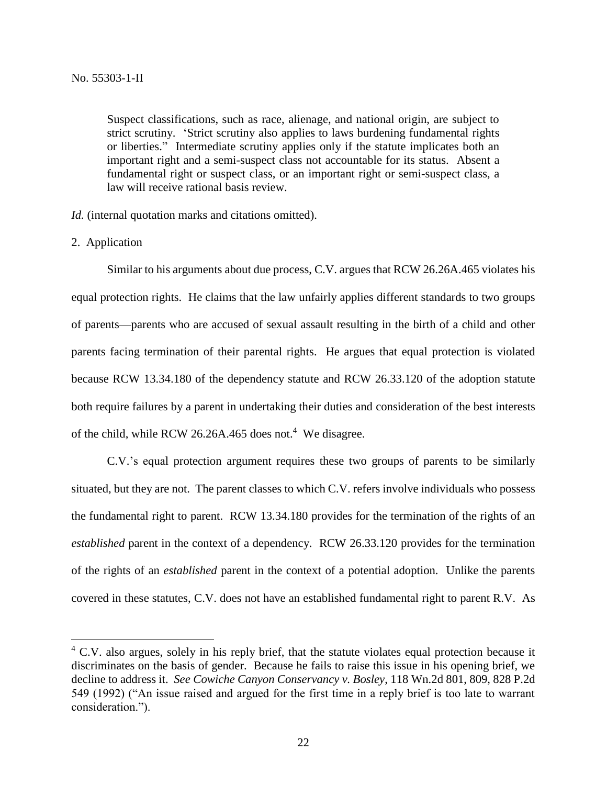Suspect classifications, such as race, alienage, and national origin, are subject to strict scrutiny. 'Strict scrutiny also applies to laws burdening fundamental rights or liberties." Intermediate scrutiny applies only if the statute implicates both an important right and a semi-suspect class not accountable for its status. Absent a fundamental right or suspect class, or an important right or semi-suspect class, a law will receive rational basis review.

*Id.* (internal quotation marks and citations omitted).

2. Application

 $\overline{a}$ 

Similar to his arguments about due process, C.V. argues that RCW 26.26A.465 violates his equal protection rights. He claims that the law unfairly applies different standards to two groups of parents—parents who are accused of sexual assault resulting in the birth of a child and other parents facing termination of their parental rights. He argues that equal protection is violated because RCW 13.34.180 of the dependency statute and RCW 26.33.120 of the adoption statute both require failures by a parent in undertaking their duties and consideration of the best interests of the child, while RCW 26.26A.465 does not.<sup>4</sup> We disagree.

C.V.'s equal protection argument requires these two groups of parents to be similarly situated, but they are not. The parent classes to which C.V. refers involve individuals who possess the fundamental right to parent. RCW 13.34.180 provides for the termination of the rights of an *established* parent in the context of a dependency. RCW 26.33.120 provides for the termination of the rights of an *established* parent in the context of a potential adoption. Unlike the parents covered in these statutes, C.V. does not have an established fundamental right to parent R.V. As

<sup>&</sup>lt;sup>4</sup> C.V. also argues, solely in his reply brief, that the statute violates equal protection because it discriminates on the basis of gender. Because he fails to raise this issue in his opening brief, we decline to address it. *See Cowiche Canyon Conservancy v. Bosley*, 118 Wn.2d 801, 809, 828 P.2d 549 (1992) ("An issue raised and argued for the first time in a reply brief is too late to warrant consideration.").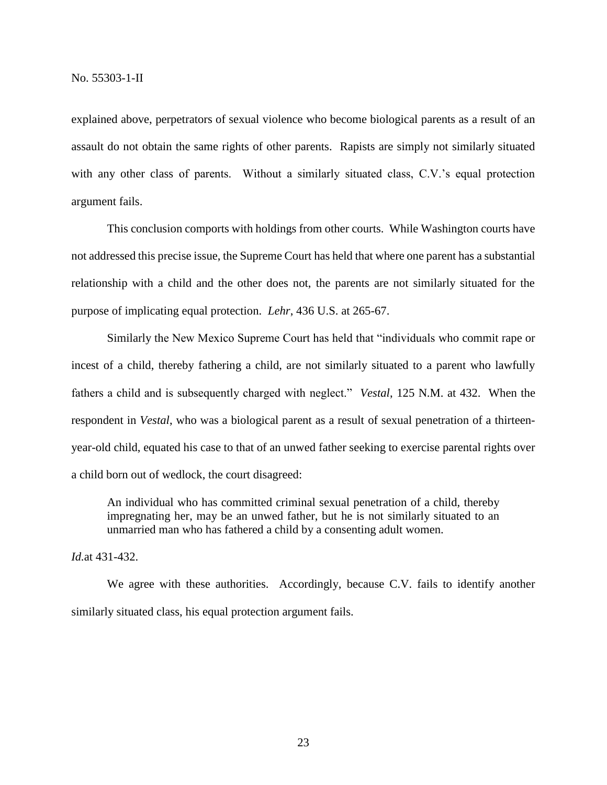explained above, perpetrators of sexual violence who become biological parents as a result of an assault do not obtain the same rights of other parents. Rapists are simply not similarly situated with any other class of parents. Without a similarly situated class, C.V.'s equal protection argument fails.

This conclusion comports with holdings from other courts. While Washington courts have not addressed this precise issue, the Supreme Court has held that where one parent has a substantial relationship with a child and the other does not, the parents are not similarly situated for the purpose of implicating equal protection. *Lehr*, 436 U.S. at 265-67.

Similarly the New Mexico Supreme Court has held that "individuals who commit rape or incest of a child, thereby fathering a child, are not similarly situated to a parent who lawfully fathers a child and is subsequently charged with neglect." *Vestal*, 125 N.M. at 432. When the respondent in *Vestal*, who was a biological parent as a result of sexual penetration of a thirteenyear-old child, equated his case to that of an unwed father seeking to exercise parental rights over a child born out of wedlock, the court disagreed:

An individual who has committed criminal sexual penetration of a child, thereby impregnating her, may be an unwed father, but he is not similarly situated to an unmarried man who has fathered a child by a consenting adult women.

*Id.*at 431-432.

We agree with these authorities. Accordingly, because C.V. fails to identify another similarly situated class, his equal protection argument fails.

23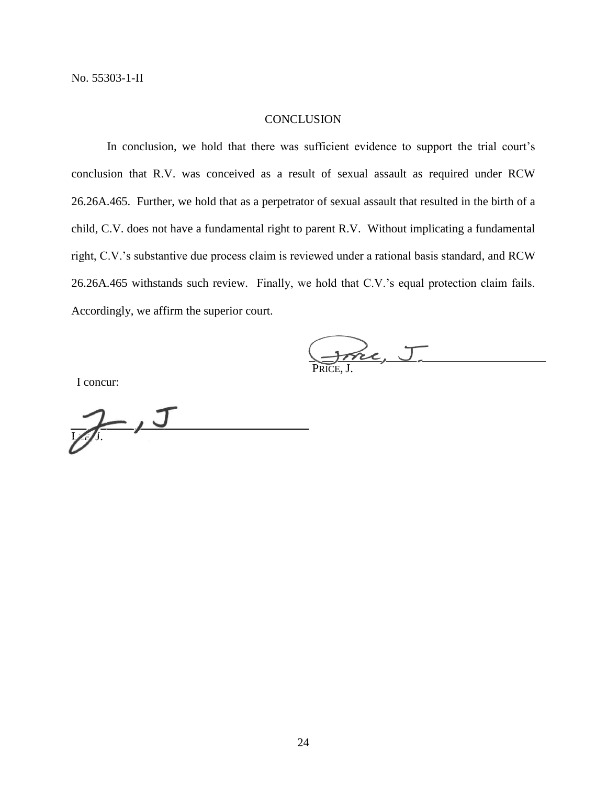# **CONCLUSION**

In conclusion, we hold that there was sufficient evidence to support the trial court's conclusion that R.V. was conceived as a result of sexual assault as required under RCW 26.26A.465. Further, we hold that as a perpetrator of sexual assault that resulted in the birth of a child, C.V. does not have a fundamental right to parent R.V. Without implicating a fundamental right, C.V.'s substantive due process claim is reviewed under a rational basis standard, and RCW 26.26A.465 withstands such review. Finally, we hold that C.V.'s equal protection claim fails. Accordingly, we affirm the superior court.

Jone, J.

I concur:

 $J$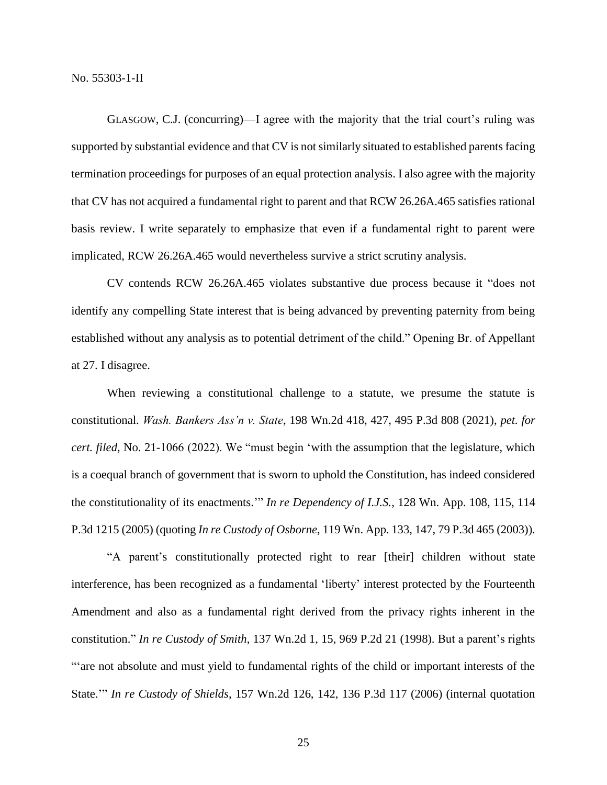GLASGOW, C.J. (concurring)—I agree with the majority that the trial court's ruling was supported by substantial evidence and that CV is not similarly situated to established parents facing termination proceedings for purposes of an equal protection analysis. I also agree with the majority that CV has not acquired a fundamental right to parent and that RCW 26.26A.465 satisfies rational basis review. I write separately to emphasize that even if a fundamental right to parent were implicated, RCW 26.26A.465 would nevertheless survive a strict scrutiny analysis.

CV contends RCW 26.26A.465 violates substantive due process because it "does not identify any compelling State interest that is being advanced by preventing paternity from being established without any analysis as to potential detriment of the child." Opening Br. of Appellant at 27. I disagree.

When reviewing a constitutional challenge to a statute, we presume the statute is constitutional. *Wash. Bankers Ass'n v. State*, 198 Wn.2d 418, 427, 495 P.3d 808 (2021), *pet. for cert. filed*, No. 21-1066 (2022). We "must begin 'with the assumption that the legislature, which is a coequal branch of government that is sworn to uphold the Constitution, has indeed considered the constitutionality of its enactments.'" *In re Dependency of I.J.S.*, 128 Wn. App. 108, 115, 114 P.3d 1215 (2005) (quoting *In re Custody of Osborne*, 119 Wn. App. 133, 147, 79 P.3d 465 (2003)).

"A parent's constitutionally protected right to rear [their] children without state interference, has been recognized as a fundamental 'liberty' interest protected by the Fourteenth Amendment and also as a fundamental right derived from the privacy rights inherent in the constitution." *In re Custody of Smith*, 137 Wn.2d 1, 15, 969 P.2d 21 (1998). But a parent's rights "'are not absolute and must yield to fundamental rights of the child or important interests of the State.'" *In re Custody of Shields*, 157 Wn.2d 126, 142, 136 P.3d 117 (2006) (internal quotation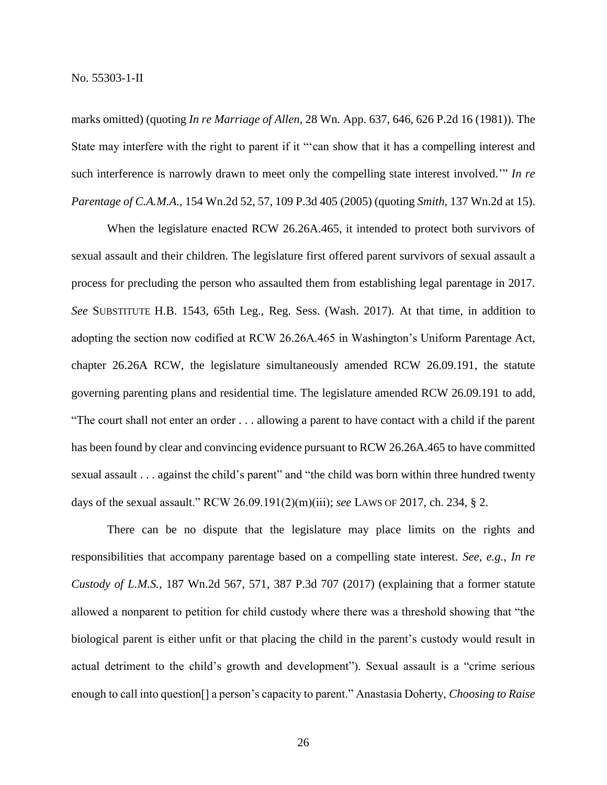marks omitted) (quoting *In re Marriage of Allen*, 28 Wn. App. 637, 646, 626 P.2d 16 (1981)). The State may interfere with the right to parent if it "'can show that it has a compelling interest and such interference is narrowly drawn to meet only the compelling state interest involved.'" *In re Parentage of C.A.M.A.*, 154 Wn.2d 52, 57, 109 P.3d 405 (2005) (quoting *Smith*, 137 Wn.2d at 15).

When the legislature enacted RCW 26.26A.465, it intended to protect both survivors of sexual assault and their children. The legislature first offered parent survivors of sexual assault a process for precluding the person who assaulted them from establishing legal parentage in 2017. *See* SUBSTITUTE H.B. 1543, 65th Leg., Reg. Sess. (Wash. 2017). At that time, in addition to adopting the section now codified at RCW 26.26A.465 in Washington's Uniform Parentage Act, chapter 26.26A RCW, the legislature simultaneously amended RCW 26.09.191, the statute governing parenting plans and residential time. The legislature amended RCW 26.09.191 to add, "The court shall not enter an order . . . allowing a parent to have contact with a child if the parent has been found by clear and convincing evidence pursuant to RCW 26.26A.465 to have committed sexual assault . . . against the child's parent" and "the child was born within three hundred twenty days of the sexual assault." RCW 26.09.191(2)(m)(iii); *see* LAWS OF 2017, ch. 234, § 2.

There can be no dispute that the legislature may place limits on the rights and responsibilities that accompany parentage based on a compelling state interest. *See, e.g.*, *In re Custody of L.M.S.*, 187 Wn.2d 567, 571, 387 P.3d 707 (2017) (explaining that a former statute allowed a nonparent to petition for child custody where there was a threshold showing that "the biological parent is either unfit or that placing the child in the parent's custody would result in actual detriment to the child's growth and development"). Sexual assault is a "crime serious enough to call into question[] a person's capacity to parent." Anastasia Doherty, *Choosing to Raise*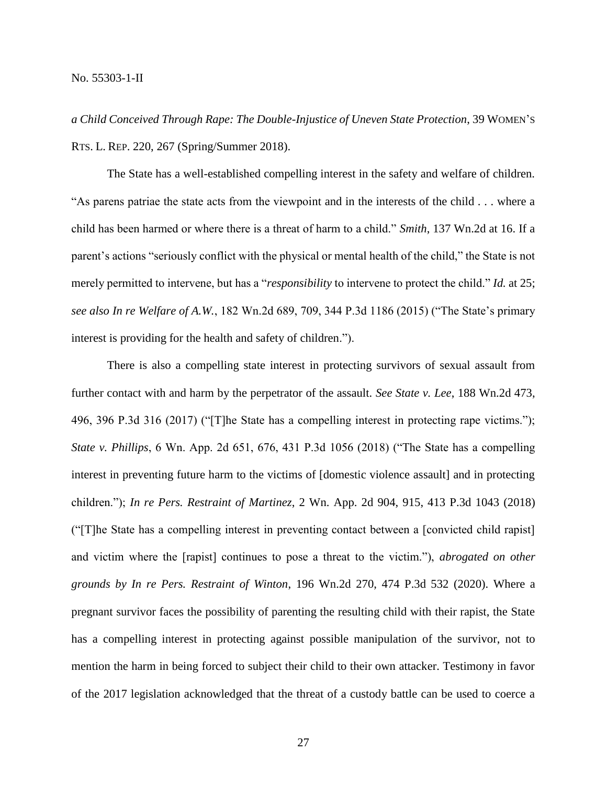*a Child Conceived Through Rape: The Double-Injustice of Uneven State Protection*, 39 WOMEN'S RTS. L. REP. 220, 267 (Spring/Summer 2018).

The State has a well-established compelling interest in the safety and welfare of children. "As parens patriae the state acts from the viewpoint and in the interests of the child . . . where a child has been harmed or where there is a threat of harm to a child." *Smith*, 137 Wn.2d at 16. If a parent's actions "seriously conflict with the physical or mental health of the child," the State is not merely permitted to intervene, but has a "*responsibility* to intervene to protect the child." *Id.* at 25; *see also In re Welfare of A.W.*, 182 Wn.2d 689, 709, 344 P.3d 1186 (2015) ("The State's primary interest is providing for the health and safety of children.").

There is also a compelling state interest in protecting survivors of sexual assault from further contact with and harm by the perpetrator of the assault. *See State v. Lee*, 188 Wn.2d 473, 496, 396 P.3d 316 (2017) ("[T]he State has a compelling interest in protecting rape victims."); *State v. Phillips*, 6 Wn. App. 2d 651, 676, 431 P.3d 1056 (2018) ("The State has a compelling interest in preventing future harm to the victims of [domestic violence assault] and in protecting children."); *In re Pers. Restraint of Martinez*, 2 Wn. App. 2d 904, 915, 413 P.3d 1043 (2018) ("[T]he State has a compelling interest in preventing contact between a [convicted child rapist] and victim where the [rapist] continues to pose a threat to the victim."), *abrogated on other grounds by In re Pers. Restraint of Winton*, 196 Wn.2d 270, 474 P.3d 532 (2020). Where a pregnant survivor faces the possibility of parenting the resulting child with their rapist, the State has a compelling interest in protecting against possible manipulation of the survivor, not to mention the harm in being forced to subject their child to their own attacker. Testimony in favor of the 2017 legislation acknowledged that the threat of a custody battle can be used to coerce a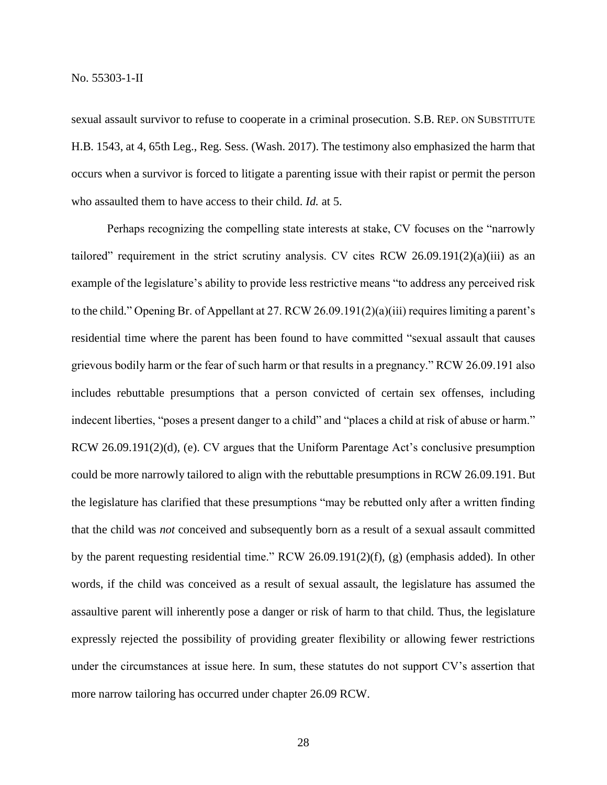sexual assault survivor to refuse to cooperate in a criminal prosecution. S.B. REP. ON SUBSTITUTE H.B. 1543, at 4, 65th Leg., Reg. Sess. (Wash. 2017). The testimony also emphasized the harm that occurs when a survivor is forced to litigate a parenting issue with their rapist or permit the person who assaulted them to have access to their child. *Id.* at 5.

Perhaps recognizing the compelling state interests at stake, CV focuses on the "narrowly tailored" requirement in the strict scrutiny analysis. CV cites RCW 26.09.191 $(2)(a)(iii)$  as an example of the legislature's ability to provide less restrictive means "to address any perceived risk to the child." Opening Br. of Appellant at 27. RCW 26.09.191(2)(a)(iii) requires limiting a parent's residential time where the parent has been found to have committed "sexual assault that causes grievous bodily harm or the fear of such harm or that results in a pregnancy." RCW 26.09.191 also includes rebuttable presumptions that a person convicted of certain sex offenses, including indecent liberties, "poses a present danger to a child" and "places a child at risk of abuse or harm." RCW 26.09.191(2)(d), (e). CV argues that the Uniform Parentage Act's conclusive presumption could be more narrowly tailored to align with the rebuttable presumptions in RCW 26.09.191. But the legislature has clarified that these presumptions "may be rebutted only after a written finding that the child was *not* conceived and subsequently born as a result of a sexual assault committed by the parent requesting residential time." RCW 26.09.191(2)(f), (g) (emphasis added). In other words, if the child was conceived as a result of sexual assault, the legislature has assumed the assaultive parent will inherently pose a danger or risk of harm to that child. Thus, the legislature expressly rejected the possibility of providing greater flexibility or allowing fewer restrictions under the circumstances at issue here. In sum, these statutes do not support CV's assertion that more narrow tailoring has occurred under chapter 26.09 RCW.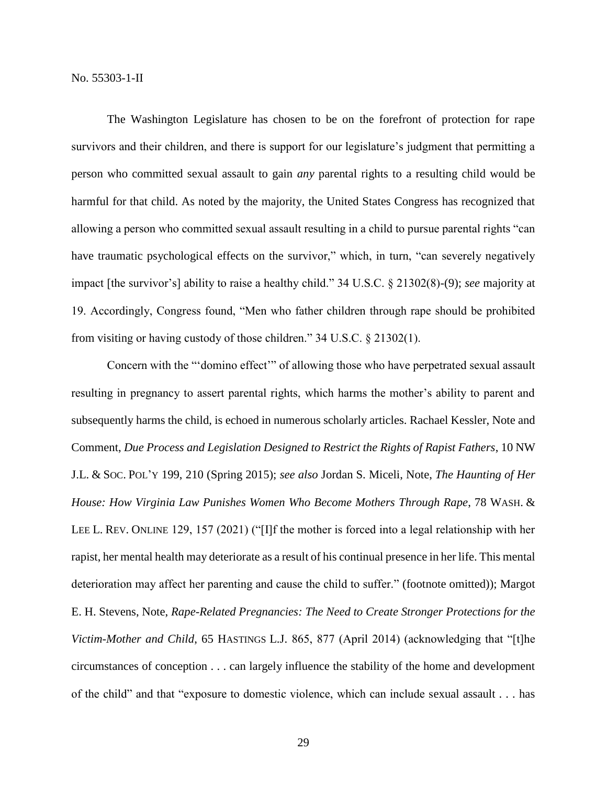The Washington Legislature has chosen to be on the forefront of protection for rape survivors and their children, and there is support for our legislature's judgment that permitting a person who committed sexual assault to gain *any* parental rights to a resulting child would be harmful for that child. As noted by the majority, the United States Congress has recognized that allowing a person who committed sexual assault resulting in a child to pursue parental rights "can have traumatic psychological effects on the survivor," which, in turn, "can severely negatively impact [the survivor's] ability to raise a healthy child." 34 U.S.C. § 21302(8)-(9); *see* majority at 19. Accordingly, Congress found, "Men who father children through rape should be prohibited from visiting or having custody of those children." 34 U.S.C. § 21302(1).

Concern with the "'domino effect'" of allowing those who have perpetrated sexual assault resulting in pregnancy to assert parental rights, which harms the mother's ability to parent and subsequently harms the child, is echoed in numerous scholarly articles. Rachael Kessler, Note and Comment, *Due Process and Legislation Designed to Restrict the Rights of Rapist Fathers*, 10 NW J.L. & SOC. POL'Y 199, 210 (Spring 2015); *see also* Jordan S. Miceli, Note, *The Haunting of Her House: How Virginia Law Punishes Women Who Become Mothers Through Rape*, 78 WASH. & LEE L. REV. ONLINE 129, 157 (2021) ("[I]f the mother is forced into a legal relationship with her rapist, her mental health may deteriorate as a result of his continual presence in her life. This mental deterioration may affect her parenting and cause the child to suffer." (footnote omitted)); Margot E. H. Stevens, Note, *Rape-Related Pregnancies: The Need to Create Stronger Protections for the Victim-Mother and Child*, 65 HASTINGS L.J. 865, 877 (April 2014) (acknowledging that "[t]he circumstances of conception . . . can largely influence the stability of the home and development of the child" and that "exposure to domestic violence, which can include sexual assault . . . has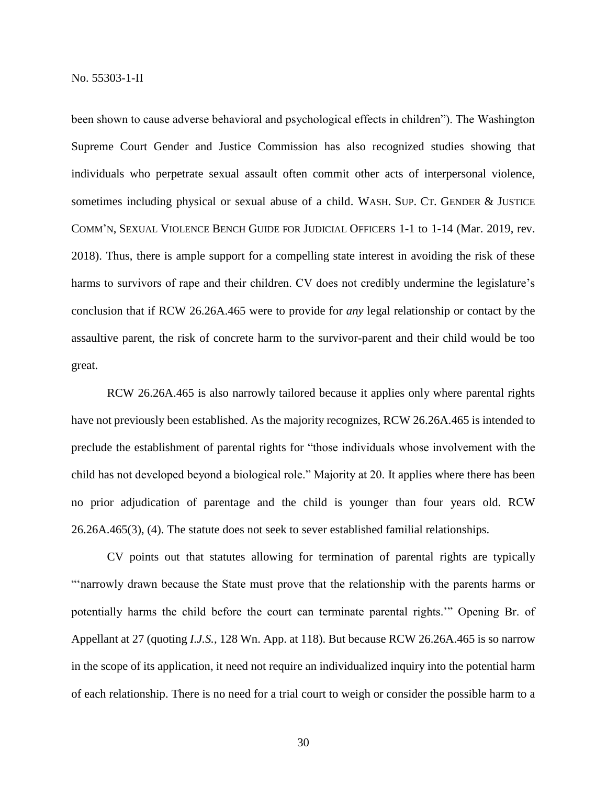been shown to cause adverse behavioral and psychological effects in children"). The Washington Supreme Court Gender and Justice Commission has also recognized studies showing that individuals who perpetrate sexual assault often commit other acts of interpersonal violence, sometimes including physical or sexual abuse of a child. WASH. SUP. CT. GENDER & JUSTICE COMM'N, SEXUAL VIOLENCE BENCH GUIDE FOR JUDICIAL OFFICERS 1-1 to 1-14 (Mar. 2019, rev. 2018). Thus, there is ample support for a compelling state interest in avoiding the risk of these harms to survivors of rape and their children. CV does not credibly undermine the legislature's conclusion that if RCW 26.26A.465 were to provide for *any* legal relationship or contact by the assaultive parent, the risk of concrete harm to the survivor-parent and their child would be too great.

RCW 26.26A.465 is also narrowly tailored because it applies only where parental rights have not previously been established. As the majority recognizes, RCW 26.26A.465 is intended to preclude the establishment of parental rights for "those individuals whose involvement with the child has not developed beyond a biological role." Majority at 20. It applies where there has been no prior adjudication of parentage and the child is younger than four years old. RCW 26.26A.465(3), (4). The statute does not seek to sever established familial relationships.

CV points out that statutes allowing for termination of parental rights are typically "'narrowly drawn because the State must prove that the relationship with the parents harms or potentially harms the child before the court can terminate parental rights.'" Opening Br. of Appellant at 27 (quoting *I.J.S.*, 128 Wn. App. at 118). But because RCW 26.26A.465 is so narrow in the scope of its application, it need not require an individualized inquiry into the potential harm of each relationship. There is no need for a trial court to weigh or consider the possible harm to a

30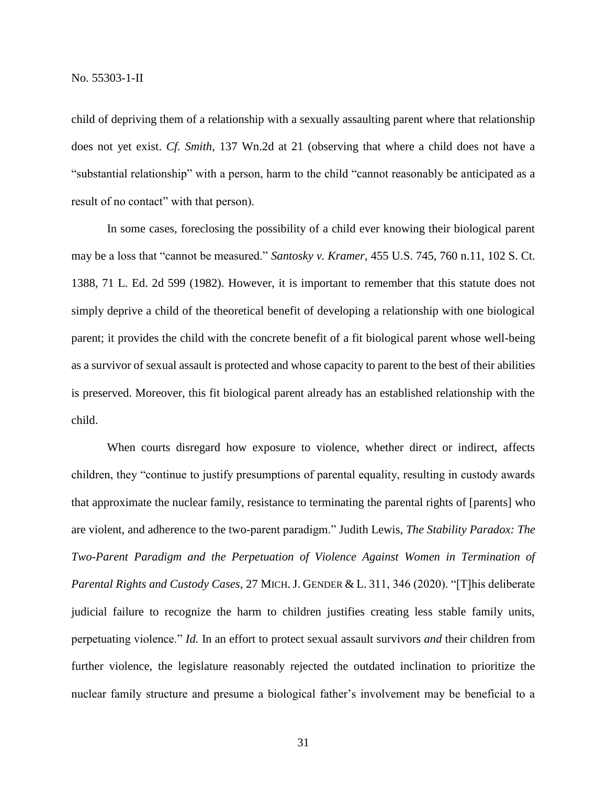child of depriving them of a relationship with a sexually assaulting parent where that relationship does not yet exist. *Cf. Smith*, 137 Wn.2d at 21 (observing that where a child does not have a "substantial relationship" with a person, harm to the child "cannot reasonably be anticipated as a result of no contact" with that person).

In some cases, foreclosing the possibility of a child ever knowing their biological parent may be a loss that "cannot be measured." *Santosky v. Kramer*, 455 U.S. 745, 760 n.11, 102 S. Ct. 1388, 71 L. Ed. 2d 599 (1982). However, it is important to remember that this statute does not simply deprive a child of the theoretical benefit of developing a relationship with one biological parent; it provides the child with the concrete benefit of a fit biological parent whose well-being as a survivor of sexual assault is protected and whose capacity to parent to the best of their abilities is preserved. Moreover, this fit biological parent already has an established relationship with the child.

When courts disregard how exposure to violence, whether direct or indirect, affects children, they "continue to justify presumptions of parental equality, resulting in custody awards that approximate the nuclear family, resistance to terminating the parental rights of [parents] who are violent, and adherence to the two-parent paradigm." Judith Lewis, *The Stability Paradox: The Two-Parent Paradigm and the Perpetuation of Violence Against Women in Termination of Parental Rights and Custody Cases*, 27 MICH.J. GENDER & L. 311, 346 (2020). "[T]his deliberate judicial failure to recognize the harm to children justifies creating less stable family units, perpetuating violence." *Id.* In an effort to protect sexual assault survivors *and* their children from further violence, the legislature reasonably rejected the outdated inclination to prioritize the nuclear family structure and presume a biological father's involvement may be beneficial to a